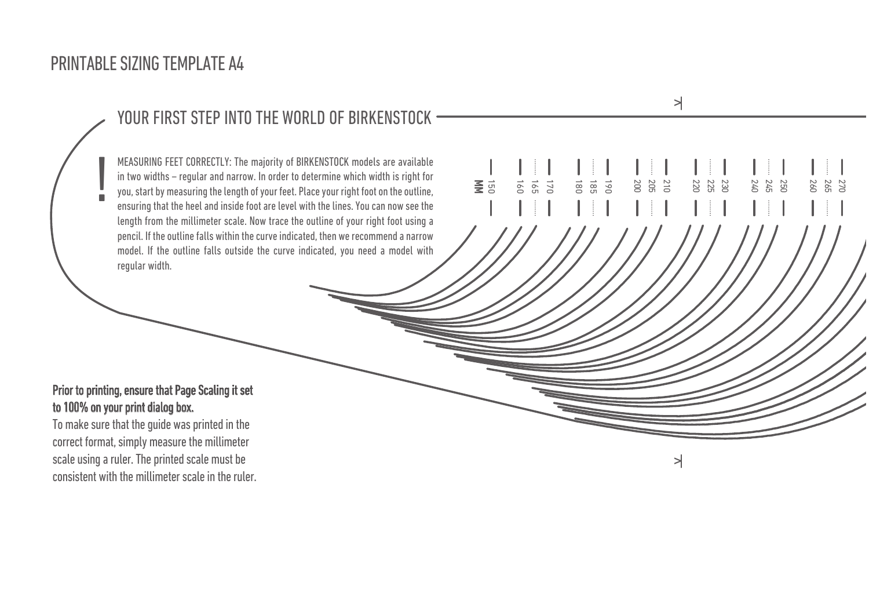## PRINTABLE SIZING TEMPLATE A4

#### YOUR FIRST STEP INTO THE WORLD OF BIRKENSTOCK ———————————————————— MEASURING FEET CORRECTLY: The majority of BIRKENSTOCK models are available<br>
in two widths – regular and narrow. In order to determine which width is right for<br>
you, start by measuring the length of your feet. Place your r in two widths – regular and narrow. In order to determine which width is right for  $\begin{array}{ccc} \textbf{I} & \textbf{I} & \textbf{I} & \textbf{I} & \textbf{I} & \textbf{I} & \textbf{I} & \textbf{I} & \textbf{I} & \textbf{I} & \textbf{I} & \textbf{I} & \textbf{I} & \textbf{I} & \textbf{I} & \textbf{I} & \textbf{I} & \textbf{I} & \textbf{$ um Wumm Singht 190<br>180 – Achten Sie darauf der Ferse und an der Ferse und an der Ferse und an der Erste bündigen<br>190 – Die Länge können Sie nun Sie nun der Ferse können Sie nun der Ferse können Sie nun der Sie nun Sie nun you, start by measuring the length of your feet. Place your right foot on the outline,  $\qquad \qquad \equiv \qquad \qquad \cong \qquad \qquad \cong \qquad \cong \qquad \cong \qquad \cong \qquad \cong \qquad \cong \qquad \cong \qquad \cong \qquad \cong \qquad \cong \qquad \cong \qquad \cong \qquad \cong \qquad \cong \qquad \cong \qquad \cong \qquad \cong \qquad \cong \qquad \con$ Liegt die Kontur innerhalb des angedeuteten Bogens, empfehlen wir Ihnen die schmale Weite. Liegt die Kontur dagegen ensuring that the heel and inside foot are level with the lines. You can now see the  $\mathcal{L} = \{ \mathcal{L} \mid \mathcal{L} \mathcal{L} \}$ pencil. If the outline falls within the curve indicated, then we recommend a narrow  $\sqrt{\left/ \left/ \left/ \left/ \left/ \right/ \right/ \right/ \left/ \left/ \left/ \right/ \right/ \right/ \right/ \right/ \left/ \left/ \left/ \left/ \left/ \left/ \left/ \left/ \left/ \left/ \left/ \left/ \right/ \right/ \right/ \right/ \right/ \right/ \right/ \right/ \right/ \right/ \left/ \left/ \left/ \left/ \left/ \left/ \left$ model. If the outline falls outside the curve indicated, you need a model with  $\sqrt{\sqrt{2}}$  $\mathcal{L}$  outline for  $\mathcal{L}$  and  $\mathcal{L}$  the curve indicated, then we recommend a slimal and we recommend a slimal and we recommend a slimal and we recommend a slimal and we recommend a slimal and we recommend a slimal model. If the outline falls outside the curve indicated, you need a model with normal width.  $\leqq$   $\frac{1}{20}$ 16<br>165<br>160<br>190 ! length from the millimeter scale. Now trace the outline of your right foot using a regular width.

### Prior to printing, ensure that Page Scaling it set to 100% on your print dialog box.

To make sure that the guide was printed in the correct format, simply measure the millimeter scale using a ruler. The printed scale must be consistent with the millimeter scale in the ruler. 21<br>20<br>20<br>20

 $\rightarrow$ 

23<br>22<br>22<br>25<br>25

25<br>24<br>25<br>25

180 260 )<br>አ 1<br>1

265 270